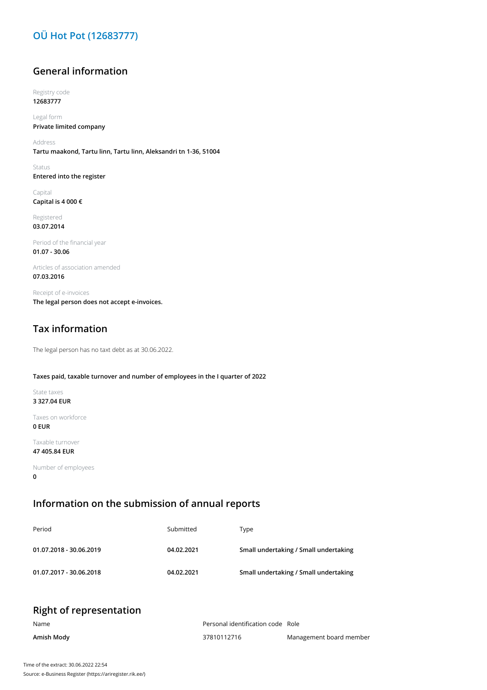# **OÜ Hot Pot (12683777)**

### **General information**

Registry code **12683777**

Legal form **Private limited company**

Address **Tartu maakond, Tartu linn, Tartu linn, Aleksandri tn 1-36, 51004**

Status **Entered into the register**

Capital **Capital is 4 000 €**

Registered **03.07.2014**

Period of the financial year **01.07 - 30.06**

Articles of association amended **07.03.2016**

Receipt of e-invoices **The legal person does not accept e-invoices.**

# **Tax information**

The legal person has no taxt debt as at 30.06.2022.

#### **Taxes paid, taxable turnover and number of employees in the I quarter of 2022**

State taxes **3 327.04 EUR**

Taxes on workforce **0 EUR**

Taxable turnover

**47 405.84 EUR**

Number of employees **0**

### **Information on the submission of annual reports**

| Period                  | Submitted  | Type                                  |
|-------------------------|------------|---------------------------------------|
| 01.07.2018 - 30.06.2019 | 04.02.2021 | Small undertaking / Small undertaking |
| 01.07.2017 - 30.06.2018 | 04.02.2021 | Small undertaking / Small undertaking |

|  |  | <b>Right of representation</b> |
|--|--|--------------------------------|
|--|--|--------------------------------|

| Name       | Personal identification code Role |                         |
|------------|-----------------------------------|-------------------------|
| Amish Mody | 37810112716                       | Management board member |